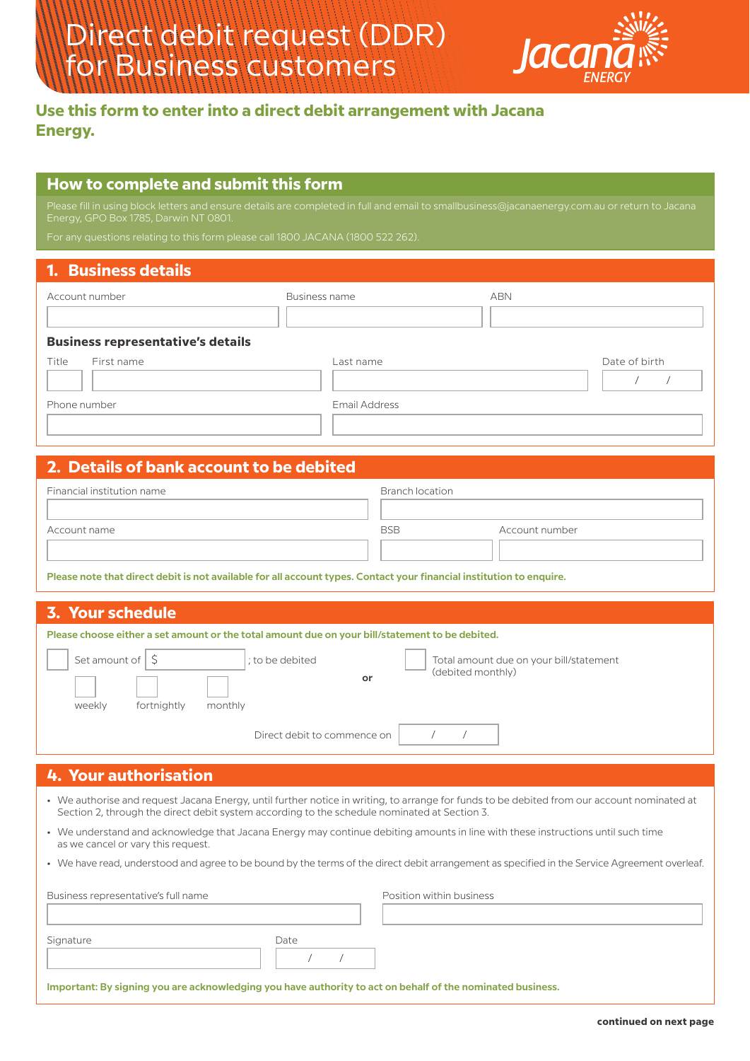

# **Use this form to enter into a direct debit arrangement with Jacana Energy.**

#### **How to complete and submit this form**

Energy, GPO Box 1785, Darwin NT 0801.

### **1. Business details**

| Account number                           | Business name | <b>ABN</b>    |  |
|------------------------------------------|---------------|---------------|--|
| <b>Business representative's details</b> |               |               |  |
| First name<br>Title                      | Last name     | Date of birth |  |
| Phone number                             | Email Address |               |  |

# **2. Details of bank account to be debited**

| Financial institution name | Branch location |                |
|----------------------------|-----------------|----------------|
| Account name               | <b>BSB</b>      | Account number |
|                            |                 |                |

**Please note that direct debit is not available for all account types. Contact your financial institution to enquire.**

| 3. Your schedule                                                                                |                                                                                                  |  |  |  |  |
|-------------------------------------------------------------------------------------------------|--------------------------------------------------------------------------------------------------|--|--|--|--|
| Please choose either a set amount or the total amount due on your bill/statement to be debited. |                                                                                                  |  |  |  |  |
| Set amount of $\vert$ \$<br>fortnightly<br>weekly                                               | ; to be debited<br>Total amount due on your bill/statement<br>(debited monthly)<br>or<br>monthly |  |  |  |  |
|                                                                                                 | Direct debit to commence on                                                                      |  |  |  |  |

## **4. Your authorisation**

- We authorise and request Jacana Energy, until further notice in writing, to arrange for funds to be debited from our account nominated at Section 2, through the direct debit system according to the schedule nominated at Section 3.
- We understand and acknowledge that Jacana Energy may continue debiting amounts in line with these instructions until such time as we cancel or vary this request.
- We have read, understood and agree to be bound by the terms of the direct debit arrangement as specified in the Service Agreement overleaf.

| Business representative's full name                                                                        |      | Position within business |
|------------------------------------------------------------------------------------------------------------|------|--------------------------|
|                                                                                                            |      |                          |
| Signature                                                                                                  | Date |                          |
|                                                                                                            |      |                          |
| Important: By signing you are acknowledging you have authority to act on behalf of the nominated business. |      |                          |